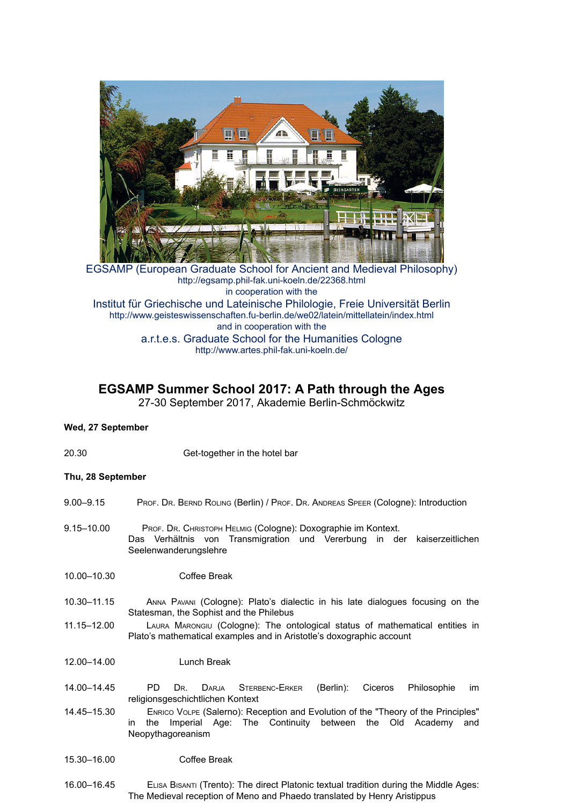

EGSAMP (European Graduate School for Ancient and Medieval Philosophy) http://egsamp.phil-fak.uni-koeln.de/22368.html in cooperation with the Institut für Griechische und Lateinische Philologie, Freie Universität Berlin http://www.geisteswissenschaften.fu-berlin.de/we02/latein/mittellatein/index.html and in cooperation with the a.r.t.e.s. Graduate School for the Humanities Cologne http://www.artes.phil-fak.uni-koeln.de/

# **EGSAMP Summer School 2017: A Path through the Ages**

27-30 September 2017, Akademie Berlin-Schmöckwitz

## **Wed, 27 September**

20.30 Get-together in the hotel bar

## **Thu, 28 September**

- 9.00–9.15 PROF. DR. BERND ROLING (Berlin) / PROF. DR. ANDREAS SPEER (Cologne): Introduction
- 9.15–10.00 PROF. DR. CHRISTOPH HELMIG (Cologne): Doxographie im Kontext. Das Verhältnis von Transmigration und Vererbung in der kaiserzeitlichen Seelenwanderungslehre
- 10.00–10.30 Coffee Break
- 10.30–11.15 ANNA PAVANI (Cologne): Plato's dialectic in his late dialogues focusing on the Statesman, the Sophist and the Philebus
- 11.15–12.00 LAURA MARONGIU (Cologne): The ontological status of mathematical entities in Plato's mathematical examples and in Aristotle's doxographic account
- 12.00–14.00 Lunch Break
- 14.00–14.45 PD DR. DARJA STERBENC-ERKER (Berlin): Ciceros Philosophie im religionsgeschichtlichen Kontext
- 14.45–15.30 ENRICO VOLPE (Salerno): Reception and Evolution of the "Theory of the Principles" in the Imperial Age: The Continuity between the Old Academy and Neopythagoreanism

#### 15.30–16.00 Coffee Break

16.00–16.45 ELISA BISANTI (Trento): The direct Platonic textual tradition during the Middle Ages: The Medieval reception of Meno and Phaedo translated by Henry Aristippus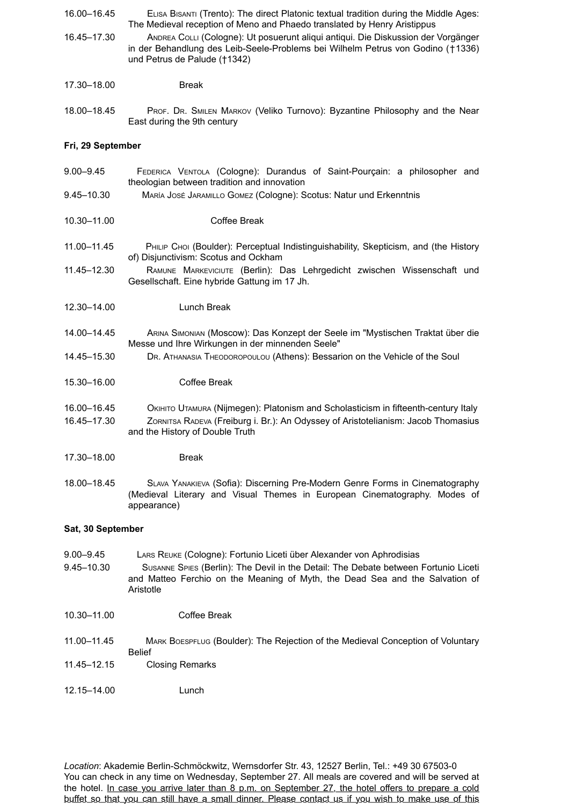- 16.00–16.45 ELISA BISANTI (Trento): The direct Platonic textual tradition during the Middle Ages: The Medieval reception of Meno and Phaedo translated by Henry Aristippus
- 16.45–17.30 ANDREA COLLI (Cologne): Ut posuerunt aliqui antiqui. Die Diskussion der Vorgänger in der Behandlung des Leib-Seele-Problems bei Wilhelm Petrus von Godino (†1336) und Petrus de Palude (†1342)
- 17.30–18.00 Break
- 18.00–18.45 PROF. DR. SMILEN MARKOV (Veliko Turnovo): Byzantine Philosophy and the Near East during the 9th century

#### **Fri, 29 September**

| $9.00 - 9.45$              | FEDERICA VENTOLA (Cologne): Durandus of Saint-Pourçain: a philosopher and<br>theologian between tradition and innovation                                                                                   |
|----------------------------|------------------------------------------------------------------------------------------------------------------------------------------------------------------------------------------------------------|
| 9.45-10.30                 | MARÍA JOSÉ JARAMILLO GOMEZ (Cologne): Scotus: Natur und Erkenntnis                                                                                                                                         |
| 10.30-11.00                | Coffee Break                                                                                                                                                                                               |
| 11.00-11.45                | PHILIP CHOI (Boulder): Perceptual Indistinguishability, Skepticism, and (the History<br>of) Disjunctivism: Scotus and Ockham                                                                               |
| 11.45-12.30                | RAMUNE MARKEVICIUTE (Berlin): Das Lehrgedicht zwischen Wissenschaft und<br>Gesellschaft. Eine hybride Gattung im 17 Jh.                                                                                    |
| 12.30-14.00                | Lunch Break                                                                                                                                                                                                |
| 14.00-14.45                | ARINA SIMONIAN (MOSCOW): Das Konzept der Seele im "Mystischen Traktat über die<br>Messe und Ihre Wirkungen in der minnenden Seele"                                                                         |
| 14.45-15.30                | DR. ATHANASIA THEODOROPOULOU (Athens): Bessarion on the Vehicle of the Soul                                                                                                                                |
| 15.30-16.00                | Coffee Break                                                                                                                                                                                               |
| 16.00-16.45<br>16.45-17.30 | Окініто Uтамива (Nijmegen): Platonism and Scholasticism in fifteenth-century Italy<br>ZORNITSA RADEVA (Freiburg i. Br.): An Odyssey of Aristotelianism: Jacob Thomasius<br>and the History of Double Truth |
| 17.30-18.00                | <b>Break</b>                                                                                                                                                                                               |
| 18.00-18.45                | SLAVA YANAKIEVA (Sofia): Discerning Pre-Modern Genre Forms in Cinematography<br>(Medieval Literary and Visual Themes in European Cinematography. Modes of<br>appearance)                                   |
| Sat, 30 September          |                                                                                                                                                                                                            |
| $9.00 - 9.45$              | LARS REUKE (Cologne): Fortunio Liceti über Alexander von Aphrodisias                                                                                                                                       |

- 9.45–10.30 SUSANNE SPIES (Berlin): The Devil in the Detail: The Debate between Fortunio Liceti and Matteo Ferchio on the Meaning of Myth, the Dead Sea and the Salvation of Aristotle
- 10.30–11.00 Coffee Break
- 11.00–11.45 MARK BOESPFLUG (Boulder): The Rejection of the Medieval Conception of Voluntary Belief
- 11.45–12.15 Closing Remarks
- 12.15–14.00 Lunch

*Location*: Akademie Berlin-Schmöckwitz, Wernsdorfer Str. 43, 12527 Berlin, Tel.: +49 30 67503-0 You can check in any time on Wednesday, September 27. All meals are covered and will be served at the hotel. In case you arrive later than 8 p.m. on September 27, the hotel offers to prepare a cold buffet so that you can still have a small dinner. Please contact us if you wish to make use of this